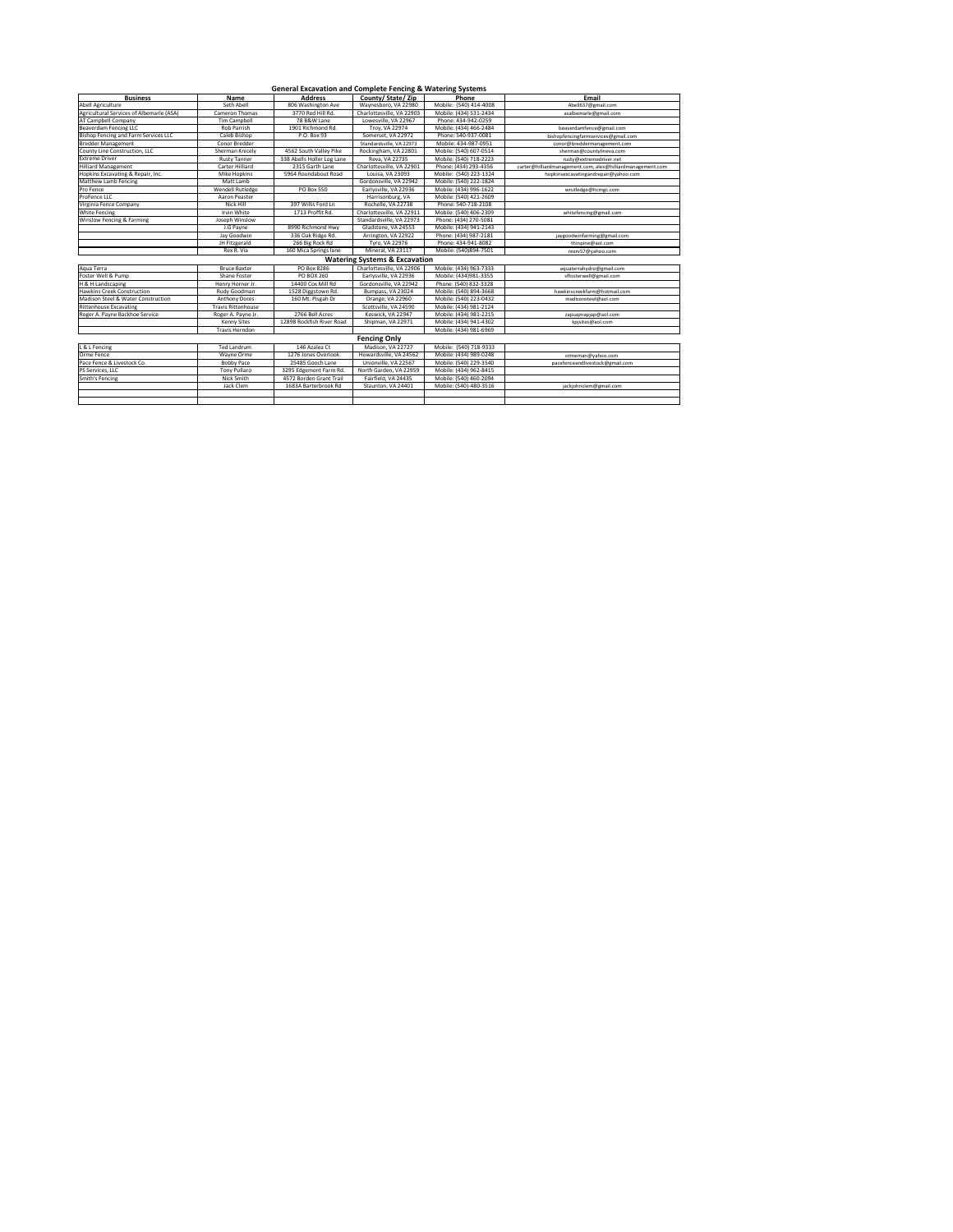| <b>General Excavation and Complete Fencing &amp; Watering Systems</b> |                           |                                            |                                          |                        |                                                            |  |  |  |
|-----------------------------------------------------------------------|---------------------------|--------------------------------------------|------------------------------------------|------------------------|------------------------------------------------------------|--|--|--|
| <b>Business</b>                                                       | <b>Name</b>               | <b>Address</b>                             | County/State/Zip                         | Phone                  | Email                                                      |  |  |  |
| Abell Agriculture                                                     | Seth Abell                | Waynesboro, VA 22980<br>806 Washington Ave |                                          | Mobile: (540) 414-4008 | Abell637@gmail.com                                         |  |  |  |
| Agricultural Services of Albemarle (ASA)                              | Cameron Thomas            | 3770 Red Hill Rd.                          | Charlottesville, VA 22903                | Mobile: (434) 531-2434 | asalbemarle@gmail.com                                      |  |  |  |
| AT Campbell Company                                                   | <b>Tim Campbell</b>       | 78 B&W Lane                                | Lowesville, VA 22967                     | Phone: 434-942-0259    |                                                            |  |  |  |
| <b>Beaverdam Fencing LLC</b>                                          | Rob Parrish               | 1901 Richmond Rd.                          | Troy, VA 22974                           | Mobile: (434) 466-2484 | beaverdamfence@gmail.com                                   |  |  |  |
| Bishop Fencing and Farm Services LLC                                  | Caleb Bishop              | P.O. Box 93                                | Somerset, VA 22972                       | Phone: 540-937-0081    | bishopfencingfarmservices@gmail.com                        |  |  |  |
| <b>Bredder Management</b>                                             | Conor Bredder             |                                            | Standardsville, VA 22973                 | Mobile: 434-987-0951   | conor@breddermanagement.com                                |  |  |  |
| County Line Construction, LLC                                         | Sherman Knicely           | 4562 South Valley Pike                     | Rockingham, VA 22801                     | Mobile: (540) 607-0514 | sherman@countylineva.com                                   |  |  |  |
| <b>Extreme Driver</b>                                                 | <b>Rusty Tanner</b>       | 338 Abells Holler Log Lane                 | Reva, VA 22735                           | Mobile: (540) 718-2223 | rusty@extremedriver.net                                    |  |  |  |
| <b>Hilliard Management</b>                                            | <b>Carter Hilliard</b>    | 2315 Garth Lane                            | Charlottesville, VA 22901                | Phone: (434) 293-4356  | carter@hilliardmanagement.com, alex@hilliardmanagement.com |  |  |  |
| Hopkins Excavating & Repair, Inc.                                     | <b>Mike Hopkins</b>       | 5964 Roundabout Road                       | Louisa, VA 23093                         | Mobile: (540) 223-1324 | hopkinsexcavatingandrepair@yahoo.com                       |  |  |  |
| <b>Matthew Lamb Fencing</b>                                           | Matt Lamb                 |                                            | Gordonsville, VA 22942                   | Mobile: (540) 222-1824 |                                                            |  |  |  |
| Pro Fence                                                             | Wendell Rutledge          | <b>PO Box 550</b>                          | Earlysville, VA 22936                    | Mobile: (434) 996-1622 | wrutledge@hcmgc.com                                        |  |  |  |
| ProFence LLC                                                          | Aaron Peaster             |                                            | Harrisonburg, VA                         | Mobile: (540) 421-2609 |                                                            |  |  |  |
| Virginia Fence Company                                                | Nick Hill                 | 397 Willis Ford Ln                         | Rochelle, VA 22738                       | Phone: 540-718-2108    |                                                            |  |  |  |
| White Fencing                                                         | Irvin White               | 1713 Proffit Rd.                           | Charlottesville, VA 22911                | Mobile: (540) 406-2309 | whitefencing@gmail.com                                     |  |  |  |
| Winslow Fencing & Farming                                             | Joseph Winslow            |                                            | Standardsville, VA 22973                 | Phone: (434) 270-5081  |                                                            |  |  |  |
|                                                                       | J.G Payne                 | 8990 Richmond Hwy                          | Gladstone, VA 24553                      | Mobile: (434) 941-2143 |                                                            |  |  |  |
|                                                                       | Jay Goodwin               | 336 Oak Ridge Rd.                          | Arrington, VA 22922                      | Phone: (434) 987-2181  | jaygoodwinfarming@gmail.com                                |  |  |  |
|                                                                       | JH Fitzgerald             | 266 Big Rock Rd                            | Tyro, VA 22976                           | Phone: 434-941-8082    | thinpine@aol.com                                           |  |  |  |
|                                                                       | Rex R. Via                | 160 Mica Springs lane                      | Mineral, VA 23117                        | Mobile: (540)894-7501  | rexrv57@yahoo.com                                          |  |  |  |
|                                                                       |                           |                                            | <b>Watering Systems &amp; Excavation</b> |                        |                                                            |  |  |  |
| Aqua Terra                                                            | <b>Bruce Baxter</b>       | PO Box 8286                                | Charlottesville, VA 22906                | Mobile: (434) 963-7333 | aquaterrahydro@gmail.com                                   |  |  |  |
| Foster Well & Pump                                                    | Shane Foster              | <b>PO BOX 260</b>                          | Earlysville, VA 22936                    | Mobile: (434)981-3355  | sffosterwell@gmail.com                                     |  |  |  |
| H & H Landscaping                                                     | Henry Horner Jr.          | 14400 Cox Mill Rd                          | Gordonsville, VA 22942                   | Phone: (540) 832-3328  |                                                            |  |  |  |
| <b>Hawkins Creek Construction</b>                                     | Rudy Goodman              | 1528 Diggstown Rd.                         | Bumpass, VA 23024                        | Mobile: (540) 894-3668 | hawkinscreekfarm@hotmail.com                               |  |  |  |
| Madison Steel & Water Construction                                    | <b>Anthony Dores</b>      | 160 Mt. Pisgah Dr                          | Orange, VA 22960                         | Mobile: (540) 223-0432 | madisonsteel@aol.com                                       |  |  |  |
| <b>Rittenhouse Excavating</b>                                         | <b>Travis Rittenhouse</b> |                                            | Scottsville, VA 24590                    | Mobile: (434) 981-2124 |                                                            |  |  |  |
| Roger A. Payne Backhoe Service                                        | Roger A. Payne Jr.        | 2766 Bell Acres                            | Keswick, VA 22947                        | Mobile: (434) 981-2215 | zapsapnapjap@aol.com                                       |  |  |  |
|                                                                       | <b>Kenny Sites</b>        | 12898 Rockfish River Road                  | Shipman, VA 22971                        | Mobile: (434) 941-4302 | kpjsites@aol.com                                           |  |  |  |
|                                                                       | Travis Herndon            |                                            |                                          | Mobile: (434) 981-6969 |                                                            |  |  |  |
| <b>Fencing Only</b>                                                   |                           |                                            |                                          |                        |                                                            |  |  |  |
| L & L Fencing                                                         | Ted Landrum               | 146 Azalea Ct                              | Madison, VA 22727                        | Mobile: (540) 718-9333 |                                                            |  |  |  |
| Orme Fence                                                            | Wayne Orme                | 1276 Jones Overlook                        | Howardsville, VA 24562                   | Mobile: (434) 989-0248 | ormeman@yahoo.com                                          |  |  |  |
| Pace Fence & Livestock Co.                                            | <b>Bobby Pace</b>         | 25485 Gooch Lane                           | Unionville, VA 22567                     | Mobile: (540) 229-3540 | pacefenceandlivestock@gmail.com                            |  |  |  |
| PS Services, LLC                                                      | <b>Tony Pullaro</b>       | 3295 Edgemont Farm Rd.                     | North Garden, VA 22959                   | Mobile: (434) 962-8415 |                                                            |  |  |  |
| Smith's Fencing                                                       | Nick Smith                | 4572 Borden Grant Trail                    | Fairfield, VA 24435                      | Mobile: (540) 460-2094 |                                                            |  |  |  |
|                                                                       | Jack Clem                 | 1683A Barterbrook Rd                       | Staunton, VA 24401                       | Mobile: (540)-480-3516 | jackjohnclem@gmail.com                                     |  |  |  |
|                                                                       |                           |                                            |                                          |                        |                                                            |  |  |  |
|                                                                       |                           |                                            |                                          |                        |                                                            |  |  |  |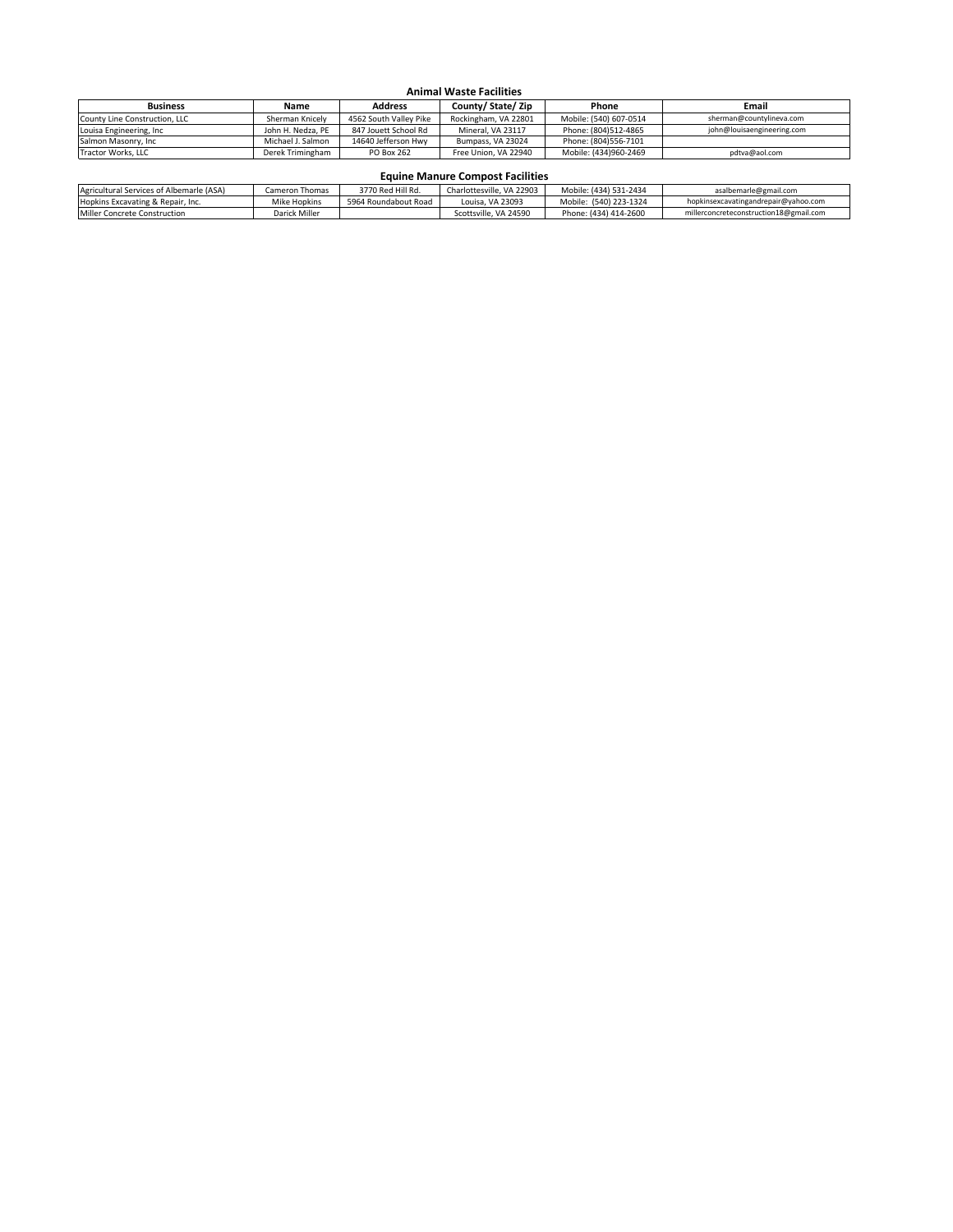| <b>Business</b>               | <b>Name</b>       | <b>Address</b>         | County/State/Zip     | Phone                  | Email                      |
|-------------------------------|-------------------|------------------------|----------------------|------------------------|----------------------------|
| County Line Construction, LLC | Sherman Knicely   | 4562 South Valley Pike | Rockingham, VA 22801 | Mobile: (540) 607-0514 | sherman@countylineva.com   |
| Louisa Engineering, Inc       | John H. Nedza, PE | 847 Jouett School Rd   | Mineral, VA 23117    | Phone: (804)512-4865   | john@louisaengineering.com |
| Salmon Masonry, Inc           | Michael J. Salmon | 14640 Jefferson Hwy    | Bumpass, VA 23024    | Phone: (804)556-7101   |                            |
| Tractor Works, LLC            | Derek Trimingham  | <b>PO Box 262</b>      | Free Union, VA 22940 | Mobile: (434)960-2469  | pdtva@aol.com              |

| Agricultural Services of Albemarle (ASA) | Cameron Thomas | 3770 Red Hill Rd.    | Charlottesville, VA 22903 | Mobile: (434) 531-2434 | asalbemarle@gmail.com                  |
|------------------------------------------|----------------|----------------------|---------------------------|------------------------|----------------------------------------|
| Hopkins Excavating & Repair, Inc.        | Mike Hopkins   | 5964 Roundabout Road | Louisa, VA 23093          | Mobile: (540) 223-1324 | hopkinsexcavatingandrepair@yahoo.com   |
| Miller Concrete Construction             | Darick Miller  |                      | Scottsville, VA 24590     | Phone: (434) 414-2600  | millerconcreteconstruction18@gmail.com |

## **Animal Waste Facilities**

## **Equine Manure Compost Facilities**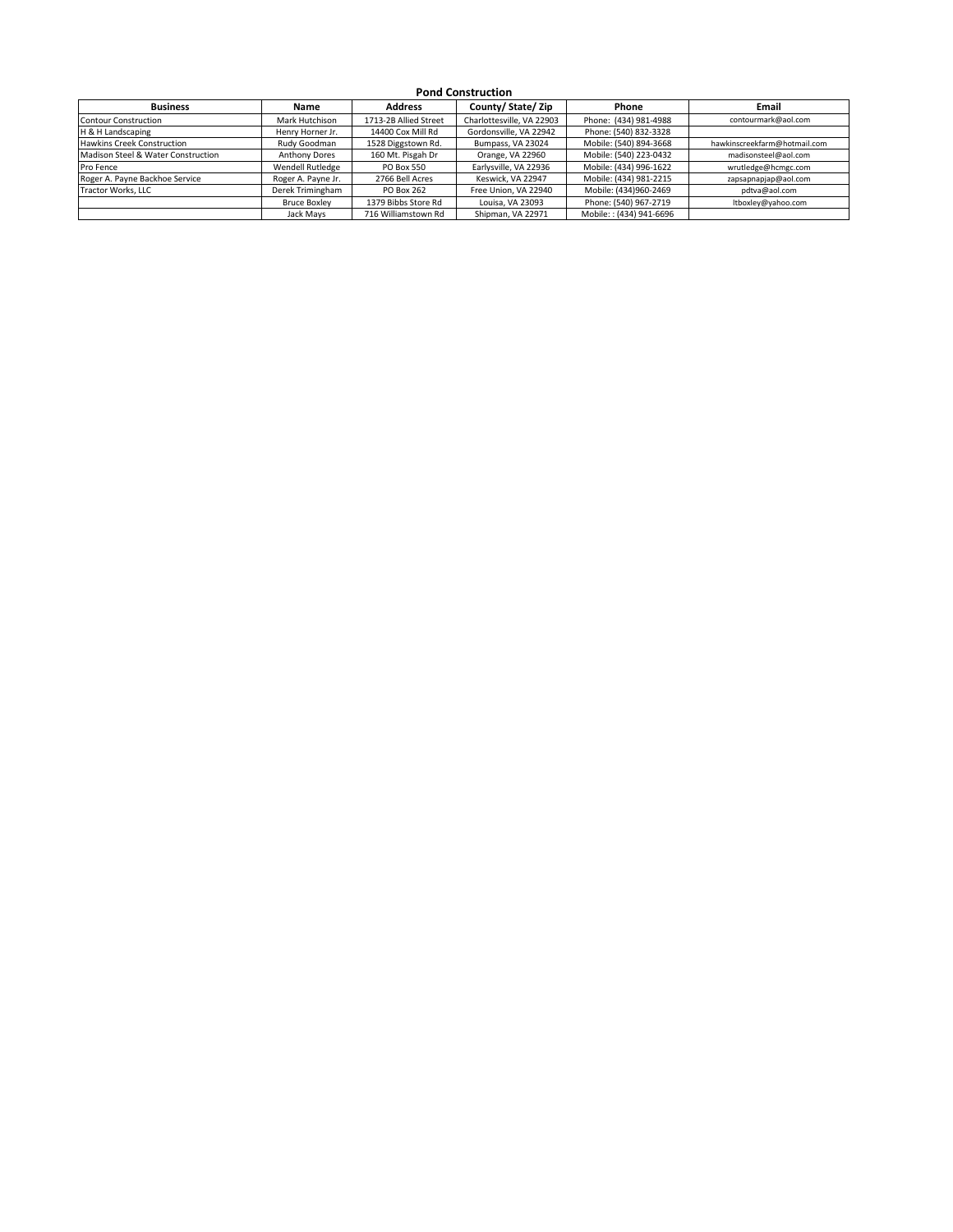| <b>Business</b>                    | <b>Name</b>          | <b>Address</b>        | County/State/Zip          | Phone                   | <b>Email</b>                 |
|------------------------------------|----------------------|-----------------------|---------------------------|-------------------------|------------------------------|
| <b>Contour Construction</b>        | Mark Hutchison       | 1713-2B Allied Street | Charlottesville, VA 22903 | Phone: (434) 981-4988   | contourmark@aol.com          |
| H & H Landscaping                  | Henry Horner Jr.     | 14400 Cox Mill Rd     | Gordonsville, VA 22942    | Phone: (540) 832-3328   |                              |
| <b>Hawkins Creek Construction</b>  | Rudy Goodman         | 1528 Diggstown Rd.    | Bumpass, VA 23024         | Mobile: (540) 894-3668  | hawkinscreekfarm@hotmail.com |
| Madison Steel & Water Construction | <b>Anthony Dores</b> | 160 Mt. Pisgah Dr     | Orange, VA 22960          | Mobile: (540) 223-0432  | madisonsteel@aol.com         |
| Pro Fence                          | Wendell Rutledge     | <b>PO Box 550</b>     | Earlysville, VA 22936     | Mobile: (434) 996-1622  | wrutledge@hcmgc.com          |
| Roger A. Payne Backhoe Service     | Roger A. Payne Jr.   | 2766 Bell Acres       | Keswick, VA 22947         | Mobile: (434) 981-2215  | zapsapnapjap@aol.com         |
| Tractor Works, LLC                 | Derek Trimingham     | <b>PO Box 262</b>     | Free Union, VA 22940      | Mobile: (434)960-2469   | pdtva@aol.com                |
|                                    | <b>Bruce Boxley</b>  | 1379 Bibbs Store Rd   | Louisa, VA 23093          | Phone: (540) 967-2719   | ltboxley@yahoo.com           |
|                                    | Jack Mays            | 716 Williamstown Rd   | Shipman, VA 22971         | Mobile:: (434) 941-6696 |                              |

## **Pond Construction**